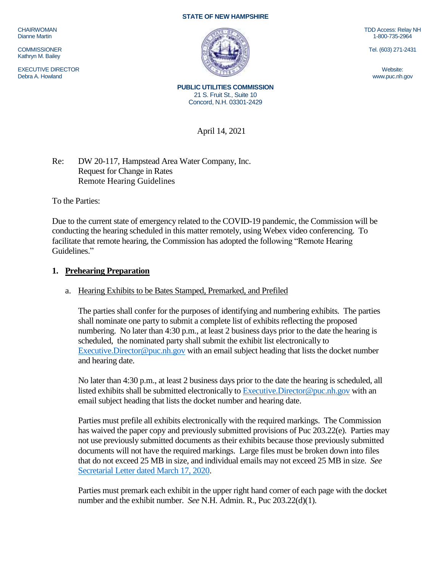CHAIRWOMAN Dianne Martin

**COMMISSIONER** Kathryn M. Bailey

EXECUTIVE DIRECTOR Debra A. Howland

#### **STATE OF NEW HAMPSHIRE**



TDD Access: Relay NH 1-800-735-2964

Tel. (603) 271-2431

Website: www.puc.nh.gov

**PUBLIC UTILITIES COMMISSION** 21 S. Fruit St., Suite 10 Concord, N.H. 03301-2429

April 14, 2021

Re: DW 20-117, Hampstead Area Water Company, Inc. Request for Change in Rates Remote Hearing Guidelines

To the Parties:

Due to the current state of emergency related to the COVID-19 pandemic, the Commission will be conducting the hearing scheduled in this matter remotely, using Webex video conferencing. To facilitate that remote hearing, the Commission has adopted the following "Remote Hearing Guidelines."

### **1. Prehearing Preparation**

## a. Hearing Exhibits to be Bates Stamped, Premarked, and Prefiled

The parties shall confer for the purposes of identifying and numbering exhibits. The parties shall nominate one party to submit a complete list of exhibits reflecting the proposed numbering. No later than 4:30 p.m., at least 2 business days prior to the date the hearing is scheduled, the nominated party shall submit the exhibit list electronically to [Executive.Director@puc.nh.gov](mailto:Executive.Director@puc.nh.gov) with an email subject heading that lists the docket number and hearing date.

No later than 4:30 p.m., at least 2 business days prior to the date the hearing is scheduled, all listed exhibits shall be submitted electronically t[o Executive.Director@puc.nh.gov](mailto:Executive.Director@puc.nh.gov) with an email subject heading that lists the docket number and hearing date.

Parties must prefile all exhibits electronically with the required markings. The Commission has waived the paper copy and previously submitted provisions of Puc 203.22(e). Parties may not use previously submitted documents as their exhibits because those previously submitted documents will not have the required markings. Large files must be broken down into files that do not exceed 25 MB in size, and individual emails may not exceed 25 MB in size. *See*  [Secretarial Letter dated March 17, 2020.](https://www.puc.nh.gov/Regulatory/Secretarial%20Letters/20200317-SecLtr-Temp-Changes-in-Filing-Requirements.pdf)

Parties must premark each exhibit in the upper right hand corner of each page with the docket number and the exhibit number. *See* N.H. Admin. R., Puc 203.22(d)(1).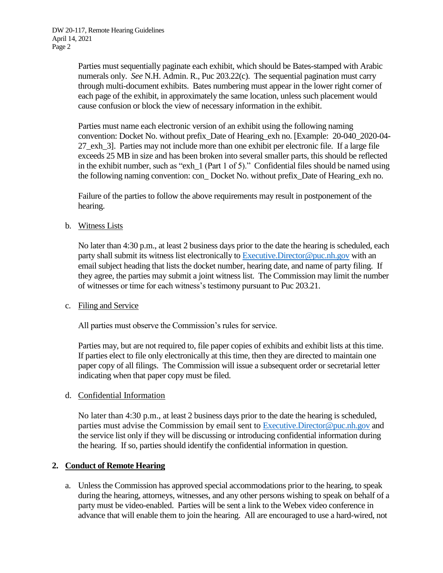Parties must sequentially paginate each exhibit, which should be Bates-stamped with Arabic numerals only. *See* N.H. Admin. R., Puc 203.22(c). The sequential pagination must carry through multi-document exhibits. Bates numbering must appear in the lower right corner of each page of the exhibit, in approximately the same location, unless such placement would cause confusion or block the view of necessary information in the exhibit.

Parties must name each electronic version of an exhibit using the following naming convention: Docket No. without prefix\_Date of Hearing\_exh no. [Example: 20-040\_2020-04- 27\_exh\_3]. Parties may not include more than one exhibit per electronic file. If a large file exceeds 25 MB in size and has been broken into several smaller parts, this should be reflected in the exhibit number, such as "exh  $1$  (Part 1 of 5)." Confidential files should be named using the following naming convention: con\_ Docket No. without prefix\_Date of Hearing\_exh no.

Failure of the parties to follow the above requirements may result in postponement of the hearing.

b. Witness Lists

No later than 4:30 p.m., at least 2 business days prior to the date the hearing is scheduled, each party shall submit its witness list electronically to [Executive.Director@puc.nh.gov](mailto:Executive.Director@puc.nh.gov) with an email subject heading that lists the docket number, hearing date, and name of party filing. If they agree, the parties may submit a joint witness list. The Commission may limit the number of witnesses or time for each witness's testimony pursuant to Puc 203.21.

### c. Filing and Service

All parties must observe the Commission's rules for service.

Parties may, but are not required to, file paper copies of exhibits and exhibit lists at this time. If parties elect to file only electronically at this time, then they are directed to maintain one paper copy of all filings. The Commission will issue a subsequent order or secretarial letter indicating when that paper copy must be filed.

### d. Confidential Information

No later than 4:30 p.m., at least 2 business days prior to the date the hearing is scheduled, parties must advise the Commission by email sent to [Executive.Director@puc.nh.gov](mailto:Executive.Director@puc.nh.gov) and the service list only if they will be discussing or introducing confidential information during the hearing. If so, parties should identify the confidential information in question.

# **2. Conduct of Remote Hearing**

a. Unless the Commission has approved special accommodations prior to the hearing, to speak during the hearing, attorneys, witnesses, and any other persons wishing to speak on behalf of a party must be video-enabled. Parties will be sent a link to the Webex video conference in advance that will enable them to join the hearing. All are encouraged to use a hard-wired, not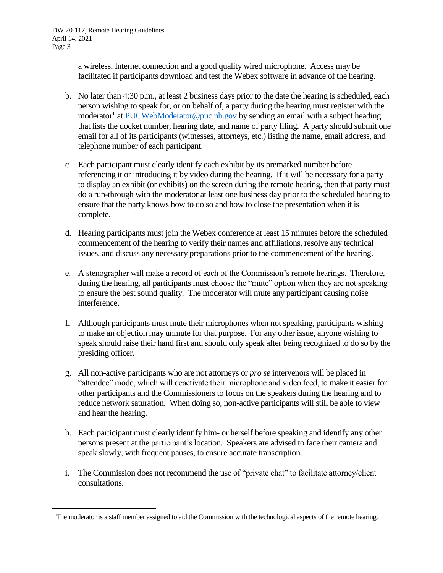$\overline{a}$ 

a wireless, Internet connection and a good quality wired microphone. Access may be facilitated if participants download and test the Webex software in advance of the hearing.

- b. No later than 4:30 p.m., at least 2 business days prior to the date the hearing is scheduled, each person wishing to speak for, or on behalf of, a party during the hearing must register with the moderator<sup>1</sup> a[t PUCWebModerator@puc.nh.gov](mailto:PUCWebModerator@puc.nh.gov) by sending an email with a subject heading that lists the docket number, hearing date, and name of party filing. A party should submit one email for all of its participants (witnesses, attorneys, etc.) listing the name, email address, and telephone number of each participant.
- c. Each participant must clearly identify each exhibit by its premarked number before referencing it or introducing it by video during the hearing. If it will be necessary for a party to display an exhibit (or exhibits) on the screen during the remote hearing, then that party must do a run-through with the moderator at least one business day prior to the scheduled hearing to ensure that the party knows how to do so and how to close the presentation when it is complete.
- d. Hearing participants must join the Webex conference at least 15 minutes before the scheduled commencement of the hearing to verify their names and affiliations, resolve any technical issues, and discuss any necessary preparations prior to the commencement of the hearing.
- e. A stenographer will make a record of each of the Commission's remote hearings. Therefore, during the hearing, all participants must choose the "mute" option when they are not speaking to ensure the best sound quality. The moderator will mute any participant causing noise interference.
- f. Although participants must mute their microphones when not speaking, participants wishing to make an objection may unmute for that purpose. For any other issue, anyone wishing to speak should raise their hand first and should only speak after being recognized to do so by the presiding officer.
- g. All non-active participants who are not attorneys or *pro se* intervenors will be placed in "attendee" mode, which will deactivate their microphone and video feed, to make it easier for other participants and the Commissioners to focus on the speakers during the hearing and to reduce network saturation. When doing so, non-active participants will still be able to view and hear the hearing.
- h. Each participant must clearly identify him- or herself before speaking and identify any other persons present at the participant's location. Speakers are advised to face their camera and speak slowly, with frequent pauses, to ensure accurate transcription.
- i. The Commission does not recommend the use of "private chat" to facilitate attorney/client consultations.

 $<sup>1</sup>$  The moderator is a staff member assigned to aid the Commission with the technological aspects of the remote hearing.</sup>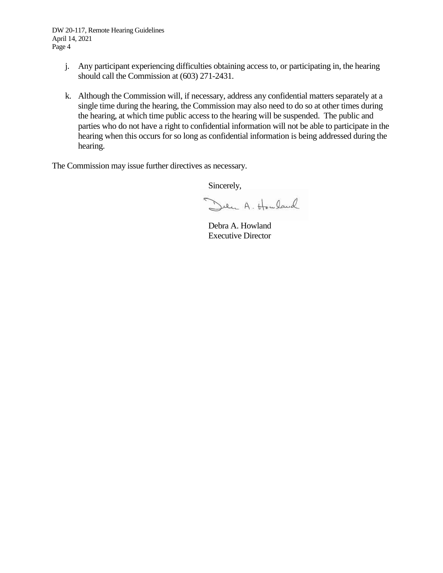DW 20-117, Remote Hearing Guidelines April 14, 2021 Page 4

- j. Any participant experiencing difficulties obtaining access to, or participating in, the hearing should call the Commission at (603) 271-2431.
- k. Although the Commission will, if necessary, address any confidential matters separately at a single time during the hearing, the Commission may also need to do so at other times during the hearing, at which time public access to the hearing will be suspended. The public and parties who do not have a right to confidential information will not be able to participate in the hearing when this occurs for so long as confidential information is being addressed during the hearing.

The Commission may issue further directives as necessary.

Sincerely,

Den A. Howland

Debra A. Howland Executive Director